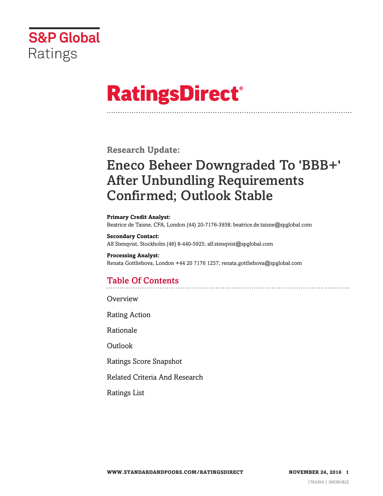

# **RatingsDirect®**

**Research Update:**

# Eneco Beheer Downgraded To 'BBB+' After Unbundling Requirements Confirmed; Outlook Stable

**Primary Credit Analyst:** Beatrice de Taisne, CFA, London (44) 20-7176-3938; beatrice.de.taisne@spglobal.com

**Secondary Contact:** Alf Stenqvist, Stockholm (46) 8-440-5925; alf.stenqvist@spglobal.com

**Processing Analyst:** Renata Gottliebova, London +44 20 7176 1257; renata.gottliebova@spglobal.com

# Table Of Contents

**[Overview](#page-1-0)** 

[Rating Action](#page-1-1)

[Rationale](#page-1-2)

[Outlook](#page-3-0)

[Ratings Score Snapshot](#page-3-1)

[Related Criteria And Research](#page-4-0)

[Ratings List](#page-5-0)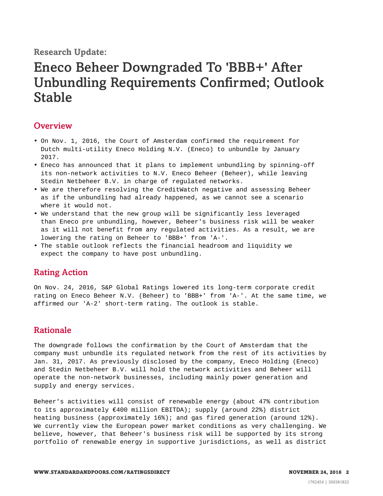### **Research Update:**

# Eneco Beheer Downgraded To 'BBB+' After Unbundling Requirements Confirmed; Outlook Stable

### <span id="page-1-0"></span>**Overview**

- On Nov. 1, 2016, the Court of Amsterdam confirmed the requirement for Dutch multi-utility Eneco Holding N.V. (Eneco) to unbundle by January 2017.
- Eneco has announced that it plans to implement unbundling by spinning-off its non-network activities to N.V. Eneco Beheer (Beheer), while leaving Stedin Netbeheer B.V. in charge of regulated networks.
- We are therefore resolving the CreditWatch negative and assessing Beheer as if the unbundling had already happened, as we cannot see a scenario where it would not.
- We understand that the new group will be significantly less leveraged than Eneco pre unbundling, however, Beheer's business risk will be weaker as it will not benefit from any regulated activities. As a result, we are lowering the rating on Beheer to 'BBB+' from 'A-'.
- <span id="page-1-1"></span>• The stable outlook reflects the financial headroom and liquidity we expect the company to have post unbundling.

### Rating Action

On Nov. 24, 2016, S&P Global Ratings lowered its long-term corporate credit rating on Eneco Beheer N.V. (Beheer) to 'BBB+' from 'A-'. At the same time, we affirmed our 'A-2' short-term rating. The outlook is stable.

### <span id="page-1-2"></span>Rationale

The downgrade follows the confirmation by the Court of Amsterdam that the company must unbundle its regulated network from the rest of its activities by Jan. 31, 2017. As previously disclosed by the company, Eneco Holding (Eneco) and Stedin Netbeheer B.V. will hold the network activities and Beheer will operate the non-network businesses, including mainly power generation and supply and energy services.

Beheer's activities will consist of renewable energy (about 47% contribution to its approximately  $€400$  million EBITDA); supply (around 22%) district heating business (approximately 16%); and gas fired generation (around 12%). We currently view the European power market conditions as very challenging. We believe, however, that Beheer's business risk will be supported by its strong portfolio of renewable energy in supportive jurisdictions, as well as district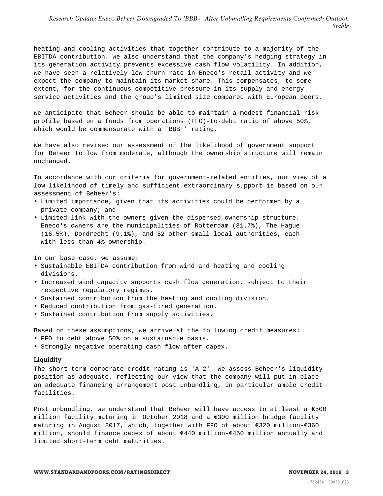heating and cooling activities that together contribute to a majority of the EBITDA contribution. We also understand that the company's hedging strategy in its generation activity prevents excessive cash flow volatility. In addition, we have seen a relatively low churn rate in Eneco's retail activity and we expect the company to maintain its market share. This compensates, to some extent, for the continuous competitive pressure in its supply and energy service activities and the group's limited size compared with European peers.

We anticipate that Beheer should be able to maintain a modest financial risk profile based on a funds from operations (FFO)-to-debt ratio of above 50%, which would be commensurate with a 'BBB+' rating.

We have also revised our assessment of the likelihood of government support for Beheer to low from moderate, although the ownership structure will remain unchanged.

In accordance with our criteria for government-related entities, our view of a low likelihood of timely and sufficient extraordinary support is based on our assessment of Beheer's:

- Limited importance, given that its activities could be performed by a private company; and
- Limited link with the owners given the dispersed ownership structure. Eneco's owners are the municipalities of Rotterdam (31.7%), The Hague (16.5%), Dordrecht (9.1%), and 52 other small local authorities, each with less than 4% ownership.

In our base case, we assume:

- Sustainable EBITDA contribution from wind and heating and cooling divisions.
- Increased wind capacity supports cash flow generation, subject to their respective regulatory regimes.
- Sustained contribution from the heating and cooling division.
- Reduced contribution from gas-fired generation.
- Sustained contribution from supply activities.

Based on these assumptions, we arrive at the following credit measures:

- FFO to debt above 50% on a sustainable basis.
- Strongly negative operating cash flow after capex.

#### **Liquidity**

The short-term corporate credit rating is 'A-2'. We assess Beheer's liquidity position as adequate, reflecting our view that the company will put in place an adequate financing arrangement post unbundling, in particular ample credit facilities.

Post unbundling, we understand that Beheer will have access to at least a  $€500$ million facility maturing in October 2018 and a  $\epsilon$ 300 million bridge facility maturing in August 2017, which, together with FFO of about €320 million-€360 million, should finance capex of about €440 million-€450 million annually and limited short-term debt maturities.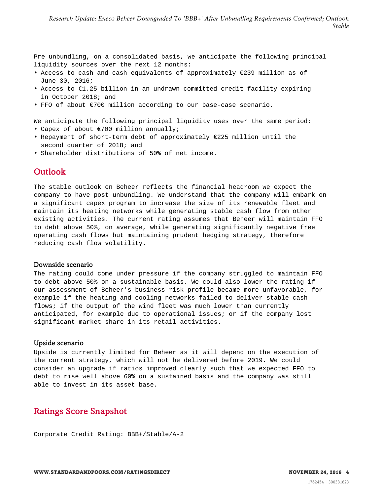Pre unbundling, on a consolidated basis, we anticipate the following principal liquidity sources over the next 12 months:

- Access to cash and cash equivalents of approximately €239 million as of June 30, 2016;
- Access to €1.25 billion in an undrawn committed credit facility expiring in October 2018; and
- FFO of about €700 million according to our base-case scenario.

We anticipate the following principal liquidity uses over the same period:

- Capex of about €700 million annually;
- Repayment of short-term debt of approximately €225 million until the second quarter of 2018; and
- <span id="page-3-0"></span>• Shareholder distributions of 50% of net income.

#### **Outlook**

The stable outlook on Beheer reflects the financial headroom we expect the company to have post unbundling. We understand that the company will embark on a significant capex program to increase the size of its renewable fleet and maintain its heating networks while generating stable cash flow from other existing activities. The current rating assumes that Beheer will maintain FFO to debt above 50%, on average, while generating significantly negative free operating cash flows but maintaining prudent hedging strategy, therefore reducing cash flow volatility.

#### Downside scenario

The rating could come under pressure if the company struggled to maintain FFO to debt above 50% on a sustainable basis. We could also lower the rating if our assessment of Beheer's business risk profile became more unfavorable, for example if the heating and cooling networks failed to deliver stable cash flows; if the output of the wind fleet was much lower than currently anticipated, for example due to operational issues; or if the company lost significant market share in its retail activities.

#### Upside scenario

Upside is currently limited for Beheer as it will depend on the execution of the current strategy, which will not be delivered before 2019. We could consider an upgrade if ratios improved clearly such that we expected FFO to debt to rise well above 60% on a sustained basis and the company was still able to invest in its asset base.

## <span id="page-3-1"></span>Ratings Score Snapshot

Corporate Credit Rating: BBB+/Stable/A-2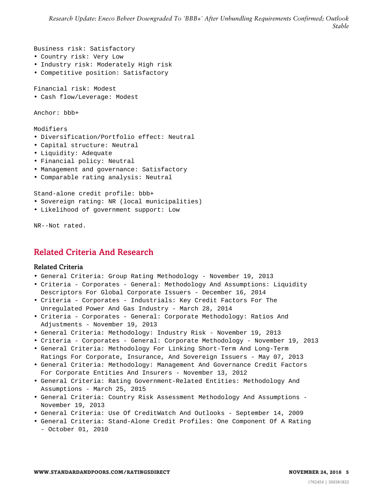Business risk: Satisfactory

- Country risk: Very Low
- Industry risk: Moderately High risk
- Competitive position: Satisfactory

Financial risk: Modest

• Cash flow/Leverage: Modest

Anchor: bbb+

Modifiers

- Diversification/Portfolio effect: Neutral
- Capital structure: Neutral
- Liquidity: Adequate
- Financial policy: Neutral
- Management and governance: Satisfactory
- Comparable rating analysis: Neutral

Stand-alone credit profile: bbb+

- Sovereign rating: NR (local municipalities)
- Likelihood of government support: Low

<span id="page-4-0"></span>NR--Not rated.

# Related Criteria And Research

#### Related Criteria

- General Criteria: Group Rating Methodology November 19, 2013
- Criteria Corporates General: Methodology And Assumptions: Liquidity Descriptors For Global Corporate Issuers - December 16, 2014
- Criteria Corporates Industrials: Key Credit Factors For The Unregulated Power And Gas Industry - March 28, 2014
- Criteria Corporates General: Corporate Methodology: Ratios And Adjustments - November 19, 2013
- General Criteria: Methodology: Industry Risk November 19, 2013
- Criteria Corporates General: Corporate Methodology November 19, 2013
- General Criteria: Methodology For Linking Short-Term And Long-Term Ratings For Corporate, Insurance, And Sovereign Issuers - May 07, 2013
- General Criteria: Methodology: Management And Governance Credit Factors For Corporate Entities And Insurers - November 13, 2012
- General Criteria: Rating Government-Related Entities: Methodology And Assumptions - March 25, 2015
- General Criteria: Country Risk Assessment Methodology And Assumptions November 19, 2013
- General Criteria: Use Of CreditWatch And Outlooks September 14, 2009
- General Criteria: Stand-Alone Credit Profiles: One Component Of A Rating - October 01, 2010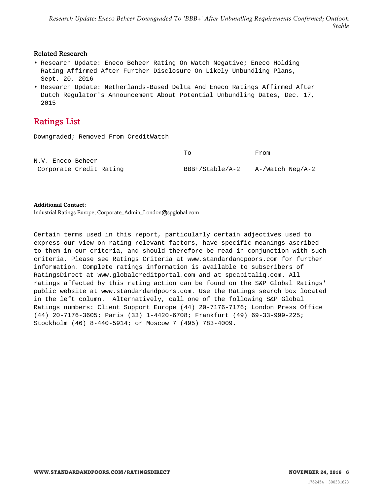#### Related Research

- Research Update: Eneco Beheer Rating On Watch Negative; Eneco Holding Rating Affirmed After Further Disclosure On Likely Unbundling Plans, Sept. 20, 2016
- Research Update: Netherlands-Based Delta And Eneco Ratings Affirmed After Dutch Regulator's Announcement About Potential Unbundling Dates, Dec. 17, 2015

# <span id="page-5-0"></span>Ratings List

Downgraded; Removed From CreditWatch

|                   |                         | To              | From             |
|-------------------|-------------------------|-----------------|------------------|
| N.V. Eneco Beheer |                         |                 |                  |
|                   | Corporate Credit Rating | BBB+/Stable/A-2 | A-/Watch Neg/A-2 |

#### **Additional Contact:**

Industrial Ratings Europe; Corporate\_Admin\_London@spglobal.com

Certain terms used in this report, particularly certain adjectives used to express our view on rating relevant factors, have specific meanings ascribed to them in our criteria, and should therefore be read in conjunction with such criteria. Please see Ratings Criteria at www.standardandpoors.com for further information. Complete ratings information is available to subscribers of RatingsDirect at www.globalcreditportal.com and at spcapitaliq.com. All ratings affected by this rating action can be found on the S&P Global Ratings' public website at www.standardandpoors.com. Use the Ratings search box located in the left column. Alternatively, call one of the following S&P Global Ratings numbers: Client Support Europe (44) 20-7176-7176; London Press Office (44) 20-7176-3605; Paris (33) 1-4420-6708; Frankfurt (49) 69-33-999-225; Stockholm (46) 8-440-5914; or Moscow 7 (495) 783-4009.